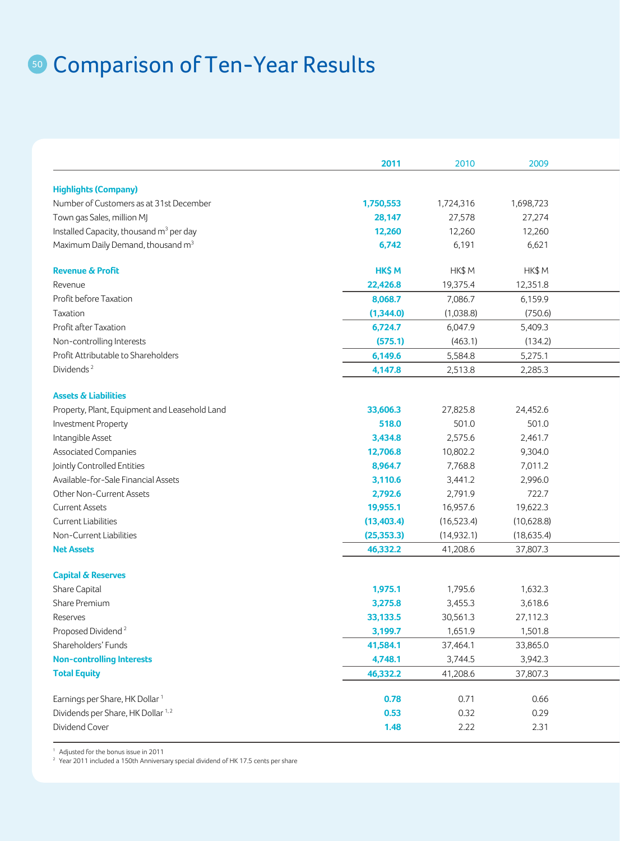## **50 Comparison of Ten-Year Results**

|                                                     | 2011        | 2010        | 2009        |  |
|-----------------------------------------------------|-------------|-------------|-------------|--|
| <b>Highlights (Company)</b>                         |             |             |             |  |
| Number of Customers as at 31st December             | 1,750,553   | 1,724,316   | 1,698,723   |  |
| Town gas Sales, million MJ                          | 28,147      | 27,578      | 27,274      |  |
| Installed Capacity, thousand m <sup>3</sup> per day | 12,260      | 12,260      | 12,260      |  |
| Maximum Daily Demand, thousand m <sup>3</sup>       | 6,742       | 6,191       | 6,621       |  |
|                                                     |             |             |             |  |
| <b>Revenue &amp; Profit</b>                         | HK\$ M      | HK\$ M      | HK\$M       |  |
| Revenue                                             | 22,426.8    | 19,375.4    | 12,351.8    |  |
| Profit before Taxation                              | 8,068.7     | 7,086.7     | 6,159.9     |  |
| Taxation                                            | (1,344.0)   | (1,038.8)   | (750.6)     |  |
| Profit after Taxation                               | 6,724.7     | 6,047.9     | 5,409.3     |  |
| Non-controlling Interests                           | (575.1)     | (463.1)     | (134.2)     |  |
| Profit Attributable to Shareholders                 | 6,149.6     | 5,584.8     | 5,275.1     |  |
| Dividends <sup>2</sup>                              | 4,147.8     | 2,513.8     | 2,285.3     |  |
|                                                     |             |             |             |  |
| <b>Assets &amp; Liabilities</b>                     |             |             |             |  |
| Property, Plant, Equipment and Leasehold Land       | 33,606.3    | 27,825.8    | 24,452.6    |  |
| Investment Property                                 | 518.0       | 501.0       | 501.0       |  |
| Intangible Asset                                    | 3,434.8     | 2,575.6     | 2,461.7     |  |
| <b>Associated Companies</b>                         | 12,706.8    | 10,802.2    | 9,304.0     |  |
| Jointly Controlled Entities                         | 8,964.7     | 7,768.8     | 7,011.2     |  |
| Available-for-Sale Financial Assets                 | 3,110.6     | 3,441.2     | 2,996.0     |  |
| Other Non-Current Assets                            | 2,792.6     | 2,791.9     | 722.7       |  |
| <b>Current Assets</b>                               | 19,955.1    | 16,957.6    | 19,622.3    |  |
| Current Liabilities                                 | (13, 403.4) | (16,523.4)  | (10,628.8)  |  |
| Non-Current Liabilities                             | (25, 353.3) | (14, 932.1) | (18, 635.4) |  |
| <b>Net Assets</b>                                   | 46,332.2    | 41,208.6    | 37,807.3    |  |
|                                                     |             |             |             |  |
| <b>Capital &amp; Reserves</b>                       |             |             |             |  |
| Share Capital                                       | 1,975.1     | 1,795.6     | 1,632.3     |  |
| Share Premium                                       | 3,275.8     | 3,455.3     | 3,618.6     |  |
| Reserves                                            | 33,133.5    | 30,561.3    | 27,112.3    |  |
| Proposed Dividend <sup>2</sup>                      | 3,199.7     | 1,651.9     | 1,501.8     |  |
| Shareholders' Funds                                 | 41,584.1    | 37,464.1    | 33,865.0    |  |
| <b>Non-controlling Interests</b>                    | 4,748.1     | 3,744.5     | 3,942.3     |  |
| <b>Total Equity</b>                                 | 46,332.2    | 41,208.6    | 37,807.3    |  |
|                                                     |             |             |             |  |
| Earnings per Share, HK Dollar <sup>1</sup>          | 0.78        | 0.71        | 0.66        |  |
| Dividends per Share, HK Dollar <sup>1,2</sup>       | 0.53        | 0.32        | 0.29        |  |
| Dividend Cover                                      | 1.48        | 2.22        | 2.31        |  |
|                                                     |             |             |             |  |

<sup>1</sup> Adjusted for the bonus issue in 2011

<sup>2</sup> Year 2011 included a 150th Anniversary special dividend of HK 17.5 cents per share